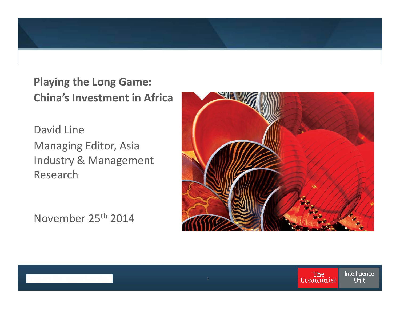

**Playing the Long Game: China's Investment in Africa**

David Line Managing Editor, Asia Industry & Management Research

November 25th 2014

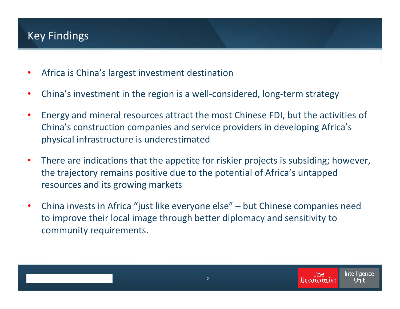### Key Findings

- Africa is China's largest investment destination
- China's investment in the region is a well-considered, long-term strategy
- Energy and mineral resources attract the most Chinese FDI, but the activities of China's construction companies and service providers in developing Africa's physical infrastructure is underestimated
- There are indications that the appetite for riskier projects is subsiding; however, the trajectory remains positive due to the potential of Africa's untapped resources and its growing markets
- China invests in Africa "just like everyone else" but Chinese companies need to improve their local image through better diplomacy and sensitivity to community requirements.

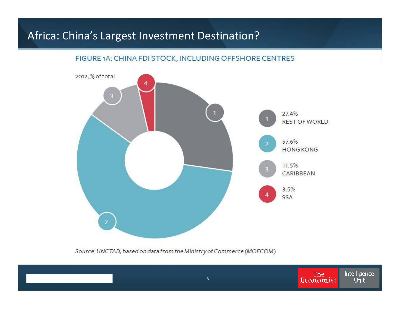#### FIGURE 1A: CHINA FDI STOCK, INCLUDING OFFSHORE CENTRES



Source: UNCTAD, based on data from the Ministry of Commerce (MOFCOM)

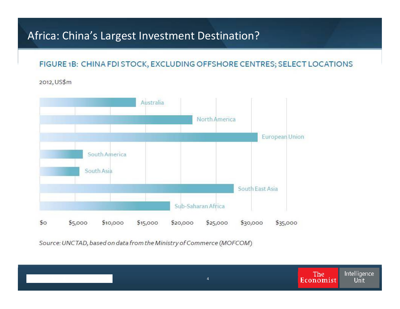#### FIGURE 1B: CHINA FDI STOCK, EXCLUDING OFFSHORE CENTRES; SELECT LOCATIONS

2012, US\$m



Source: UNCTAD, based on data from the Ministry of Commerce (MOFCOM)

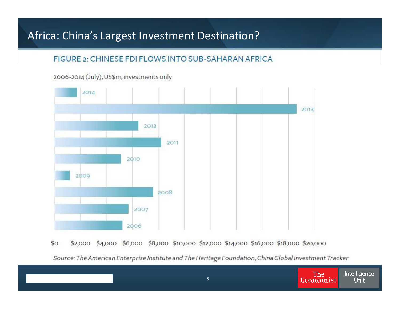#### FIGURE 2: CHINESE FDI FLOWS INTO SUB-SAHARAN AFRICA





 $$^{\circ}$ \$2,000 \$4,000 \$6,000 \$8,000 \$10,000 \$12,000 \$14,000 \$16,000 \$18,000 \$20,000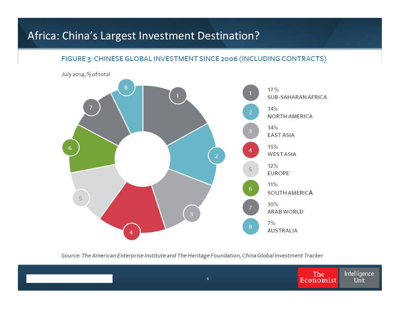

FIGURE 3: CHINESE GLOBAL INVESTMENT SINCE 2006 (INCLUDING CONTRACTS)

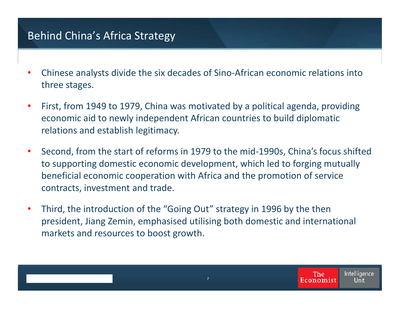## Behind China's Africa Strategy

- Chinese analysts divide the six decades of Sino-African economic relations into three stages.
- First, from 1949 to 1979, China was motivated by a political agenda, providing economic aid to newly independent African countries to build diplomatic relations and establish legitimacy.
- Second, from the start of reforms in 1979 to the mid-1990s, China's focus shifted to supporting domestic economic development, which led to forging mutually beneficial economic cooperation with Africa and the promotion of service contracts, investment and trade.
- Third, the introduction of the "Going Out" strategy in 1996 by the then president, Jiang Zemin, emphasised utilising both domestic and international markets and resources to boost growth.

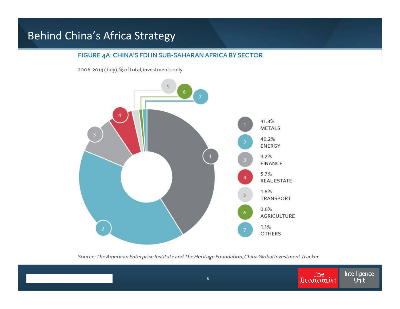### Behind China's Africa Strategy

#### FIGURE 4A: CHINA'S FDI IN SUB-SAHARAN AFRICA BY SECTOR

2006-2014 (July), % of total, investments only



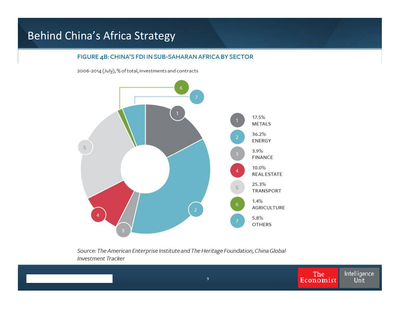### Behind China's Africa Strategy

#### FIGURE 4B: CHINA'S FDI IN SUB-SAHARAN AFRICA BY SECTOR

2006-2014 (July), % of total, investments and contracts



Source: The American Enterprise Institute and The Heritage Foundation, China Global **Investment Tracker** 

9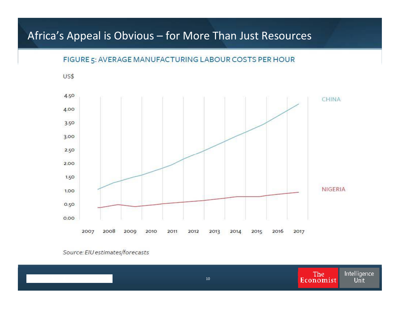### Africa's Appeal is Obvious – for More Than Just Resources



FIGURE 5: AVERAGE MANUFACTURING LABOUR COSTS PER HOUR

Source: EIU estimates/forecasts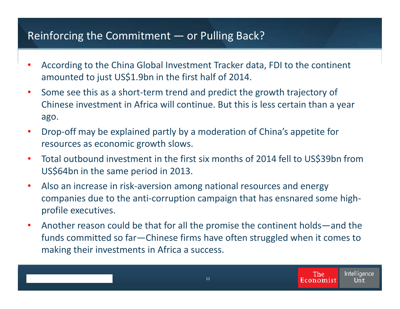### Reinforcing the Commitment — or Pulling Back?

- According to the China Global Investment Tracker data, FDI to the continent amounted to just US\$1.9bn in the first half of 2014.
- Some see this as a short-term trend and predict the growth trajectory of Chinese investment in Africa will continue. But this is less certain than a year ago.
- Drop-off may be explained partly by a moderation of China's appetite for resources as economic growth slows.
- Total outbound investment in the first six months of 2014 fell to US\$39bn from US\$64bn in the same period in 2013.
- Also an increase in risk-aversion among national resources and energy companies due to the anti-corruption campaign that has ensnared some highprofile executives.
- Another reason could be that for all the promise the continent holds—and the funds committed so far—Chinese firms have often struggled when it comes to making their investments in Africa a success.

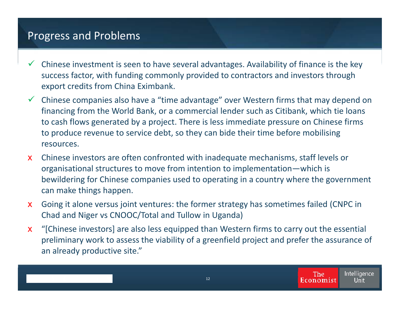#### Progress and Problems

- $\checkmark$  Chinese investment is seen to have several advantages. Availability of finance is the key success factor, with funding commonly provided to contractors and investors through export credits from China Eximbank.
- $\checkmark$  Chinese companies also have a "time advantage" over Western firms that may depend on financing from the World Bank, or a commercial lender such as Citibank, which tie loans to cash flows generated by a project. There is less immediate pressure on Chinese firms to produce revenue to service debt, so they can bide their time before mobilising resources.
- x Chinese investors are often confronted with inadequate mechanisms, staff levels or organisational structures to move from intention to implementation—which is bewildering for Chinese companies used to operating in a country where the government can make things happen.
- x Going it alone versus joint ventures: the former strategy has sometimes failed (CNPC in Chad and Niger vs CNOOC/Total and Tullow in Uganda)
- x "[Chinese investors] are also less equipped than Western firms to carry out the essential preliminary work to assess the viability of a greenfield project and prefer the assurance of an already productive site."

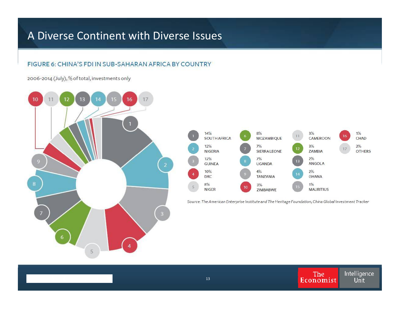### A Diverse Continent with Diverse Issues

#### FIGURE 6: CHINA'S FDI IN SUB-SAHARAN AFRICA BY COUNTRY

2006-2014 (July), % of total, investments only





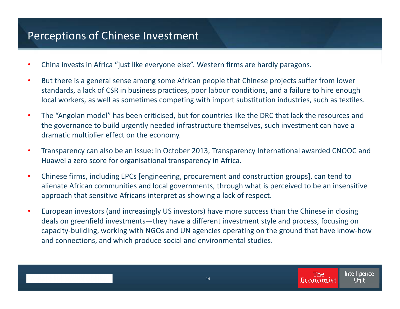### Perceptions of Chinese Investment

- China invests in Africa "just like everyone else". Western firms are hardly paragons.
- But there is a general sense among some African people that Chinese projects suffer from lower standards, a lack of CSR in business practices, poor labour conditions, and a failure to hire enough local workers, as well as sometimes competing with import substitution industries, such as textiles.
- The "Angolan model" has been criticised, but for countries like the DRC that lack the resources and the governance to build urgently needed infrastructure themselves, such investment can have a dramatic multiplier effect on the economy.
- Transparency can also be an issue: in October 2013, Transparency International awarded CNOOC and Huawei a zero score for organisational transparency in Africa.
- Chinese firms, including EPCs [engineering, procurement and construction groups], can tend to alienate African communities and local governments, through what is perceived to be an insensitive approach that sensitive Africans interpret as showing a lack of respect.
- European investors (and increasingly US investors) have more success than the Chinese in closing deals on greenfield investments—they have a different investment style and process, focusing on capacity-building, working with NGOs and UN agencies operating on the ground that have know-how and connections, and which produce social and environmental studies.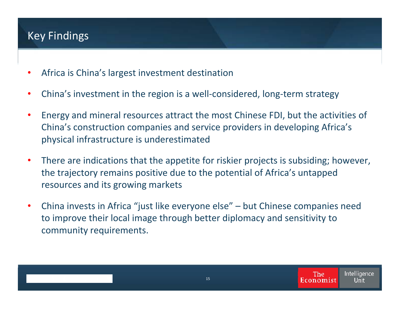### Key Findings

- Africa is China's largest investment destination
- China's investment in the region is a well-considered, long-term strategy
- Energy and mineral resources attract the most Chinese FDI, but the activities of China's construction companies and service providers in developing Africa's physical infrastructure is underestimated
- There are indications that the appetite for riskier projects is subsiding; however, the trajectory remains positive due to the potential of Africa's untapped resources and its growing markets
- China invests in Africa "just like everyone else" but Chinese companies need to improve their local image through better diplomacy and sensitivity to community requirements.